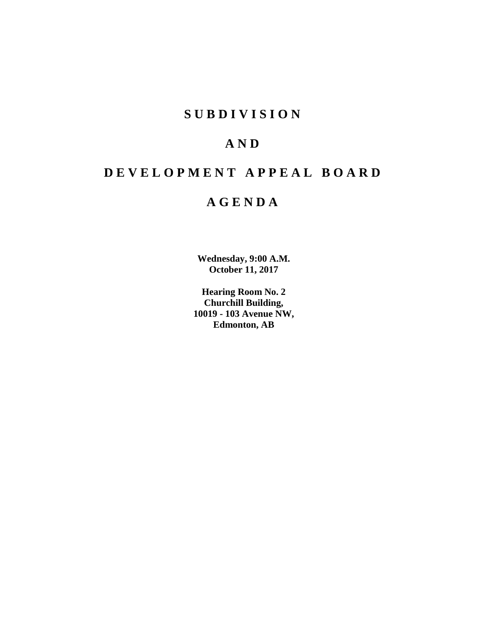# **SUBDIVISION**

# **AND**

# **DEVELOPMENT APPEAL BOARD**

# **AGENDA**

**Wednesday, 9:00 A.M. October 11, 2017**

**Hearing Room No. 2 Churchill Building, 10019 - 103 Avenue NW, Edmonton, AB**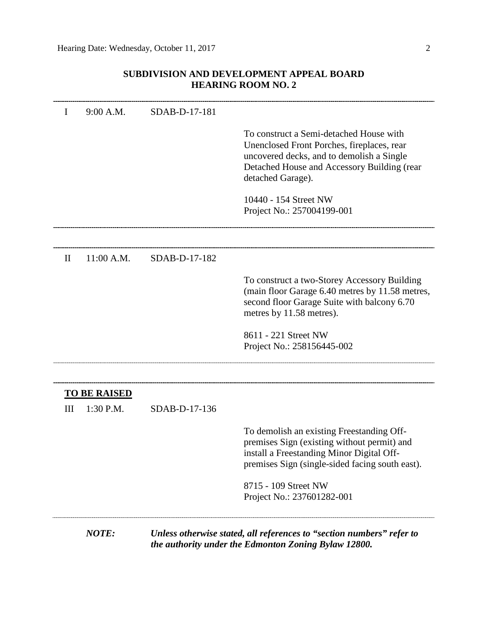## **SUBDIVISION AND DEVELOPMENT APPEAL BOARD HEARING ROOM NO. 2**

| I            | 9:00 A.M.                        | SDAB-D-17-181 |                                                                                                                                                                                                        |
|--------------|----------------------------------|---------------|--------------------------------------------------------------------------------------------------------------------------------------------------------------------------------------------------------|
|              |                                  |               | To construct a Semi-detached House with<br>Unenclosed Front Porches, fireplaces, rear<br>uncovered decks, and to demolish a Single<br>Detached House and Accessory Building (rear<br>detached Garage). |
|              |                                  |               | 10440 - 154 Street NW<br>Project No.: 257004199-001                                                                                                                                                    |
| $\mathbf{I}$ | 11:00 A.M.                       | SDAB-D-17-182 |                                                                                                                                                                                                        |
|              |                                  |               | To construct a two-Storey Accessory Building<br>(main floor Garage 6.40 metres by 11.58 metres,<br>second floor Garage Suite with balcony 6.70<br>metres by 11.58 metres).                             |
|              |                                  |               | 8611 - 221 Street NW<br>Project No.: 258156445-002                                                                                                                                                     |
|              |                                  |               |                                                                                                                                                                                                        |
| Ш            | <b>TO BE RAISED</b><br>1:30 P.M. | SDAB-D-17-136 |                                                                                                                                                                                                        |
|              |                                  |               | To demolish an existing Freestanding Off-<br>premises Sign (existing without permit) and<br>install a Freestanding Minor Digital Off-<br>premises Sign (single-sided facing south east).               |
|              |                                  |               | 8715 - 109 Street NW<br>Project No.: 237601282-001                                                                                                                                                     |
|              | <b>NOTE:</b>                     |               | Unless otherwise stated, all references to "section numbers" refer to<br>the authority under the Edmonton Zoning Bylaw 12800.                                                                          |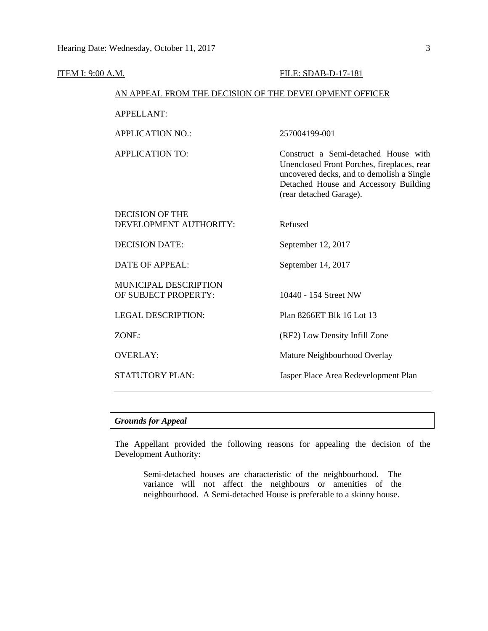| <u>ITEM I: 9:00 A.M.</u> |                                                        | FILE: SDAB-D-17-181                                                                                                                                                                                 |  |  |  |
|--------------------------|--------------------------------------------------------|-----------------------------------------------------------------------------------------------------------------------------------------------------------------------------------------------------|--|--|--|
|                          | AN APPEAL FROM THE DECISION OF THE DEVELOPMENT OFFICER |                                                                                                                                                                                                     |  |  |  |
|                          | <b>APPELLANT:</b>                                      |                                                                                                                                                                                                     |  |  |  |
|                          | <b>APPLICATION NO.:</b>                                | 257004199-001                                                                                                                                                                                       |  |  |  |
|                          | <b>APPLICATION TO:</b>                                 | Construct a Semi-detached House with<br>Unenclosed Front Porches, fireplaces, rear<br>uncovered decks, and to demolish a Single<br>Detached House and Accessory Building<br>(rear detached Garage). |  |  |  |
|                          | <b>DECISION OF THE</b><br>DEVELOPMENT AUTHORITY:       | Refused                                                                                                                                                                                             |  |  |  |
|                          | <b>DECISION DATE:</b>                                  | September 12, 2017                                                                                                                                                                                  |  |  |  |
|                          | <b>DATE OF APPEAL:</b>                                 | September 14, 2017                                                                                                                                                                                  |  |  |  |
|                          | MUNICIPAL DESCRIPTION<br>OF SUBJECT PROPERTY:          | 10440 - 154 Street NW                                                                                                                                                                               |  |  |  |
|                          | <b>LEGAL DESCRIPTION:</b>                              | Plan 8266ET Blk 16 Lot 13                                                                                                                                                                           |  |  |  |
|                          | ZONE:                                                  | (RF2) Low Density Infill Zone                                                                                                                                                                       |  |  |  |
|                          | <b>OVERLAY:</b>                                        | Mature Neighbourhood Overlay                                                                                                                                                                        |  |  |  |
|                          | STATUTORY PLAN:                                        | Jasper Place Area Redevelopment Plan                                                                                                                                                                |  |  |  |

### *Grounds for Appeal*

The Appellant provided the following reasons for appealing the decision of the Development Authority:

Semi-detached houses are characteristic of the neighbourhood. The variance will not affect the neighbours or amenities of the neighbourhood. A Semi-detached House is preferable to a skinny house.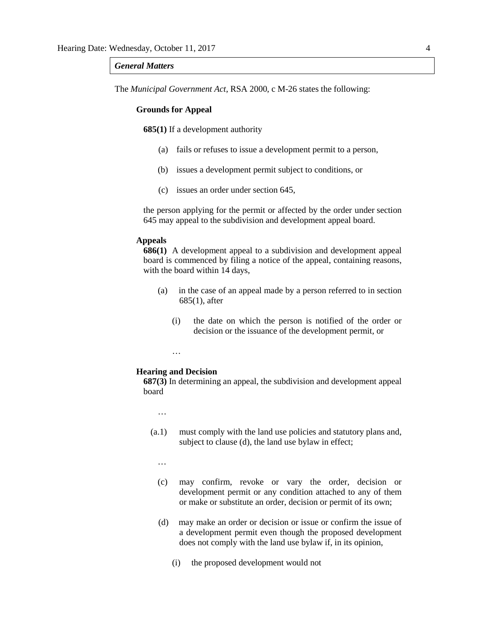#### *General Matters*

The *Municipal Government Act*, RSA 2000, c M-26 states the following:

#### **Grounds for Appeal**

**685(1)** If a development authority

- (a) fails or refuses to issue a development permit to a person,
- (b) issues a development permit subject to conditions, or
- (c) issues an order under section 645,

the person applying for the permit or affected by the order under section 645 may appeal to the subdivision and development appeal board.

#### **Appeals**

**686(1)** A development appeal to a subdivision and development appeal board is commenced by filing a notice of the appeal, containing reasons, with the board within 14 days,

- (a) in the case of an appeal made by a person referred to in section 685(1), after
	- (i) the date on which the person is notified of the order or decision or the issuance of the development permit, or

…

#### **Hearing and Decision**

**687(3)** In determining an appeal, the subdivision and development appeal board

…

(a.1) must comply with the land use policies and statutory plans and, subject to clause (d), the land use bylaw in effect;

…

- (c) may confirm, revoke or vary the order, decision or development permit or any condition attached to any of them or make or substitute an order, decision or permit of its own;
- (d) may make an order or decision or issue or confirm the issue of a development permit even though the proposed development does not comply with the land use bylaw if, in its opinion,
	- (i) the proposed development would not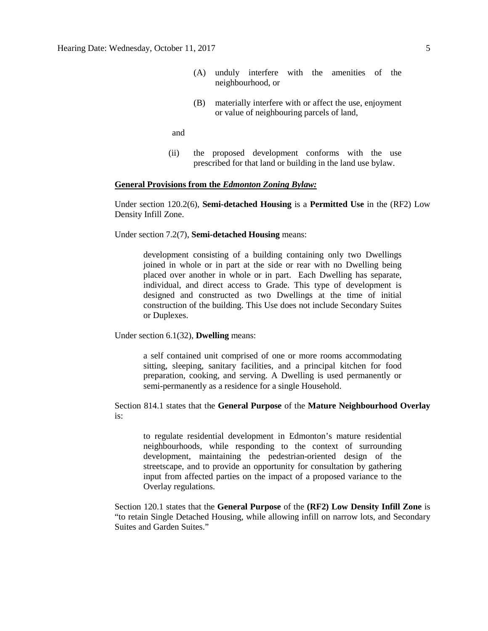- (A) unduly interfere with the amenities of the neighbourhood, or
- (B) materially interfere with or affect the use, enjoyment or value of neighbouring parcels of land,

and

(ii) the proposed development conforms with the use prescribed for that land or building in the land use bylaw.

#### **General Provisions from the** *Edmonton Zoning Bylaw:*

Under section 120.2(6), **Semi-detached Housing** is a **Permitted Use** in the (RF2) Low Density Infill Zone.

Under section 7.2(7), **Semi-detached Housing** means:

development consisting of a building containing only two Dwellings joined in whole or in part at the side or rear with no Dwelling being placed over another in whole or in part. Each Dwelling has separate, individual, and direct access to Grade. This type of development is designed and constructed as two Dwellings at the time of initial construction of the building. This Use does not include Secondary Suites or Duplexes.

Under section 6.1(32), **Dwelling** means:

a self contained unit comprised of one or more rooms accommodating sitting, sleeping, sanitary facilities, and a principal kitchen for food preparation, cooking, and serving. A Dwelling is used permanently or semi-permanently as a residence for a single Household.

Section 814.1 states that the **General Purpose** of the **Mature Neighbourhood Overlay** is:

to regulate residential development in Edmonton's mature residential neighbourhoods, while responding to the context of surrounding development, maintaining the pedestrian-oriented design of the streetscape, and to provide an opportunity for consultation by gathering input from affected parties on the impact of a proposed variance to the Overlay regulations.

Section 120.1 states that the **General Purpose** of the **(RF2) Low Density Infill Zone** is "to retain Single Detached Housing, while allowing infill on narrow lots, and Secondary Suites and Garden Suites."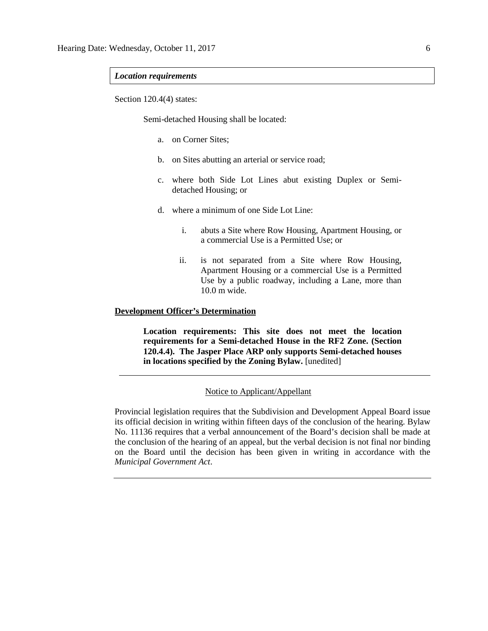#### *Location requirements*

Section 120.4(4) states:

Semi-detached Housing shall be located:

- a. on Corner Sites;
- b. on Sites abutting an arterial or service road;
- c. where both Side Lot Lines abut existing Duplex or Semidetached Housing; or
- d. where a minimum of one Side Lot Line:
	- i. abuts a Site where Row Housing, Apartment Housing, or a commercial Use is a Permitted Use; or
	- ii. is not separated from a Site where Row Housing, Apartment Housing or a commercial Use is a Permitted Use by a public roadway, including a Lane, more than 10.0 m wide.

#### **Development Officer's Determination**

**Location requirements: This site does not meet the location requirements for a Semi-detached House in the RF2 Zone. (Section 120.4.4). The Jasper Place ARP only supports Semi-detached houses in locations specified by the Zoning Bylaw.** [unedited]

#### Notice to Applicant/Appellant

Provincial legislation requires that the Subdivision and Development Appeal Board issue its official decision in writing within fifteen days of the conclusion of the hearing. Bylaw No. 11136 requires that a verbal announcement of the Board's decision shall be made at the conclusion of the hearing of an appeal, but the verbal decision is not final nor binding on the Board until the decision has been given in writing in accordance with the *Municipal Government Act*.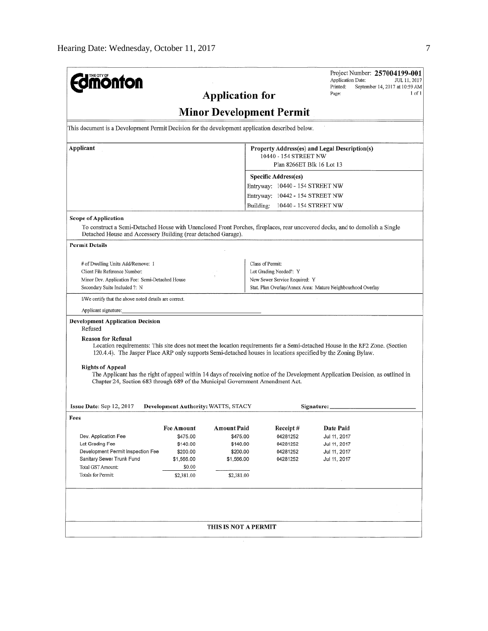| <b>nönfon</b>                                                                                                                              |                                     |                        |                                 |                           | Project Number: 257004199-001<br><b>Application Date:</b><br>JUL 11, 2017<br>Printed:<br>September 14, 2017 at 10:59 AM<br>$1$ of $1$<br>Page: |
|--------------------------------------------------------------------------------------------------------------------------------------------|-------------------------------------|------------------------|---------------------------------|---------------------------|------------------------------------------------------------------------------------------------------------------------------------------------|
|                                                                                                                                            |                                     | <b>Application for</b> |                                 |                           |                                                                                                                                                |
|                                                                                                                                            |                                     |                        | <b>Minor Development Permit</b> |                           |                                                                                                                                                |
| This document is a Development Permit Decision for the development application described below.                                            |                                     |                        |                                 |                           |                                                                                                                                                |
| Applicant                                                                                                                                  |                                     |                        | 10440 - 154 STREET NW           | Plan 8266ET Blk 16 Lot 13 | Property Address(es) and Legal Description(s)                                                                                                  |
|                                                                                                                                            |                                     |                        | <b>Specific Address(es)</b>     |                           |                                                                                                                                                |
|                                                                                                                                            |                                     |                        | Entryway: 10440 - 154 STREET NW |                           |                                                                                                                                                |
|                                                                                                                                            |                                     |                        | Entryway: 10442 - 154 STREET NW |                           |                                                                                                                                                |
|                                                                                                                                            |                                     |                        | Building: 10440 - 154 STREET NW |                           |                                                                                                                                                |
| <b>Scope of Application</b>                                                                                                                |                                     |                        |                                 |                           |                                                                                                                                                |
| Detached House and Accessory Building (rear detached Garage).                                                                              |                                     |                        |                                 |                           | To construct a Semi-Detached House with Unenclosed Front Porches, fireplaces, rear uncovered decks, and to demolish a Single                   |
| <b>Permit Details</b>                                                                                                                      |                                     |                        |                                 |                           |                                                                                                                                                |
|                                                                                                                                            |                                     |                        | Class of Permit:                |                           |                                                                                                                                                |
| # of Dwelling Units Add/Remove: 1<br>Client File Reference Number:                                                                         |                                     |                        | Lot Grading Needed?: Y          |                           |                                                                                                                                                |
| Minor Dev. Application Fee: Semi-Detached House                                                                                            |                                     |                        | New Sewer Service Required: Y   |                           |                                                                                                                                                |
| Secondary Suite Included ?: N                                                                                                              |                                     |                        |                                 |                           | Stat. Plan Overlay/Annex Area: Mature Neighbourhood Overlay                                                                                    |
| I/We certify that the above noted details are correct.                                                                                     |                                     |                        |                                 |                           |                                                                                                                                                |
| Applicant signature:                                                                                                                       |                                     |                        |                                 |                           |                                                                                                                                                |
| <b>Development Application Decision</b><br>Refused                                                                                         |                                     |                        |                                 |                           |                                                                                                                                                |
| <b>Reason for Refusal</b><br>120.4.4). The Jasper Place ARP only supports Semi-detached houses in locations specified by the Zoning Bylaw. |                                     |                        |                                 |                           | Location requirements: This site does not meet the location requirements for a Semi-detached House in the RF2 Zone. (Section                   |
| <b>Rights of Appeal</b><br>Chapter 24, Section 683 through 689 of the Municipal Government Amendment Act.                                  |                                     |                        |                                 |                           | The Applicant has the right of appeal within 14 days of receiving notice of the Development Application Decision, as outlined in               |
| Issue Date: Sep 12, 2017                                                                                                                   | Development Authority: WATTS, STACY |                        |                                 | Signature:                |                                                                                                                                                |
| Fees                                                                                                                                       |                                     |                        |                                 |                           |                                                                                                                                                |
|                                                                                                                                            | <b>Fee Amount</b>                   | Amount Paid            | Receipt#                        |                           | Date Paid                                                                                                                                      |
| Dev. Application Fee                                                                                                                       | \$475.00                            | \$475.00               | 04281252                        |                           | Jul 11, 2017                                                                                                                                   |
| Lot Grading Fee                                                                                                                            | \$140.00                            | \$140.00               | 04281252                        |                           | Jul 11, 2017                                                                                                                                   |
| Development Permit Inspection Fee<br>Sanitary Sewer Trunk Fund                                                                             | \$200.00                            | \$200.00               | 04281252                        |                           | Jul 11, 2017                                                                                                                                   |
| Total GST Amount:                                                                                                                          | \$1,566.00<br>\$0.00                | \$1,566.00             | 04281252                        |                           | Jul 11, 2017                                                                                                                                   |
| Totals for Permit:                                                                                                                         | \$2,381.00                          | \$2,381.00             |                                 |                           |                                                                                                                                                |
|                                                                                                                                            |                                     |                        |                                 |                           |                                                                                                                                                |
|                                                                                                                                            |                                     |                        |                                 |                           |                                                                                                                                                |
|                                                                                                                                            |                                     |                        |                                 |                           |                                                                                                                                                |
|                                                                                                                                            |                                     | THIS IS NOT A PERMIT   |                                 |                           |                                                                                                                                                |
|                                                                                                                                            |                                     |                        |                                 |                           |                                                                                                                                                |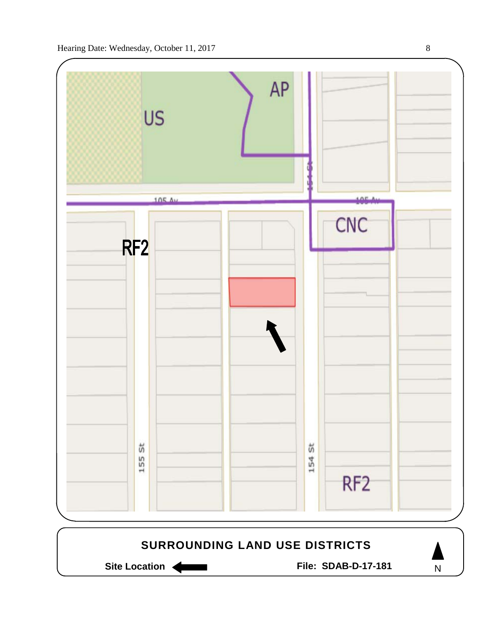

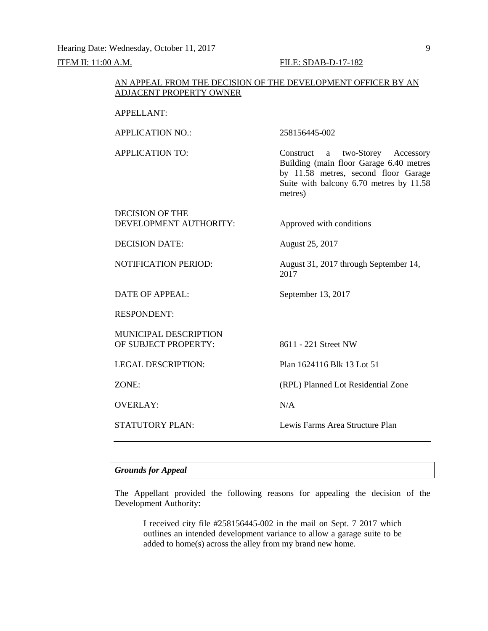Hearing Date: Wednesday, October 11, 2017 9

#### **ITEM II: 11:00 A.M. FILE: SDAB-D-17-182**

#### AN APPEAL FROM THE DECISION OF THE DEVELOPMENT OFFICER BY AN ADJACENT PROPERTY OWNER

#### APPELLANT:

APPLICATION NO.: 258156445-002

APPLICATION TO: Construct a two-Storey Accessory Building (main floor Garage 6.40 metres by 11.58 metres, second floor Garage Suite with balcony 6.70 metres by 11.58 metres)

#### DECISION OF THE DEVELOPMENT AUTHORITY: Approved with conditions

DECISION DATE: August 25, 2017

NOTIFICATION PERIOD: August 31, 2017 through September 14,

DATE OF APPEAL: September 13, 2017

RESPONDENT:

MUNICIPAL DESCRIPTION OF SUBJECT PROPERTY: 8611 - 221 Street NW

OVERLAY: N/A

LEGAL DESCRIPTION: Plan 1624116 Blk 13 Lot 51

ZONE: (RPL) Planned Lot Residential Zone

2017

STATUTORY PLAN: Lewis Farms Area Structure Plan

#### *Grounds for Appeal*

The Appellant provided the following reasons for appealing the decision of the Development Authority:

I received city file #258156445-002 in the mail on Sept. 7 2017 which outlines an intended development variance to allow a garage suite to be added to home(s) across the alley from my brand new home.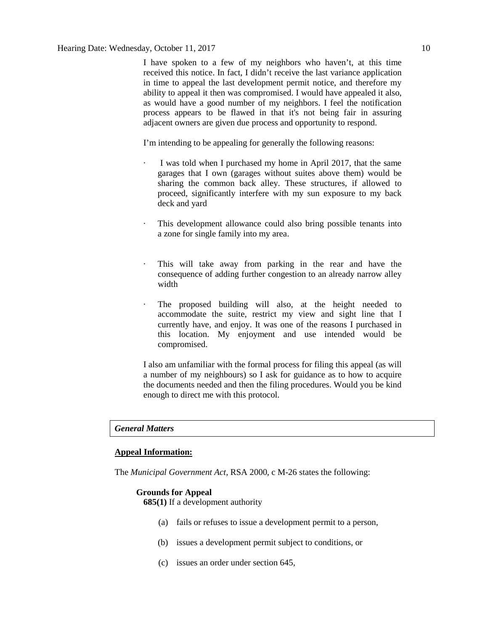I have spoken to a few of my neighbors who haven't, at this time received this notice. In fact, I didn't receive the last variance application in time to appeal the last development permit notice, and therefore my ability to appeal it then was compromised. I would have appealed it also, as would have a good number of my neighbors. I feel the notification process appears to be flawed in that it's not being fair in assuring adjacent owners are given due process and opportunity to respond.

I'm intending to be appealing for generally the following reasons:

- I was told when I purchased my home in April 2017, that the same garages that I own (garages without suites above them) would be sharing the common back alley. These structures, if allowed to proceed, significantly interfere with my sun exposure to my back deck and yard
- This development allowance could also bring possible tenants into a zone for single family into my area.
- This will take away from parking in the rear and have the consequence of adding further congestion to an already narrow alley width
- The proposed building will also, at the height needed to accommodate the suite, restrict my view and sight line that I currently have, and enjoy. It was one of the reasons I purchased in this location. My enjoyment and use intended would be compromised.

I also am unfamiliar with the formal process for filing this appeal (as will a number of my neighbours) so I ask for guidance as to how to acquire the documents needed and then the filing procedures. Would you be kind enough to direct me with this protocol.

#### *General Matters*

#### **Appeal Information:**

The *Municipal Government Act*, RSA 2000, c M-26 states the following:

#### **Grounds for Appeal**

**685(1)** If a development authority

- (a) fails or refuses to issue a development permit to a person,
- (b) issues a development permit subject to conditions, or
- (c) issues an order under section 645,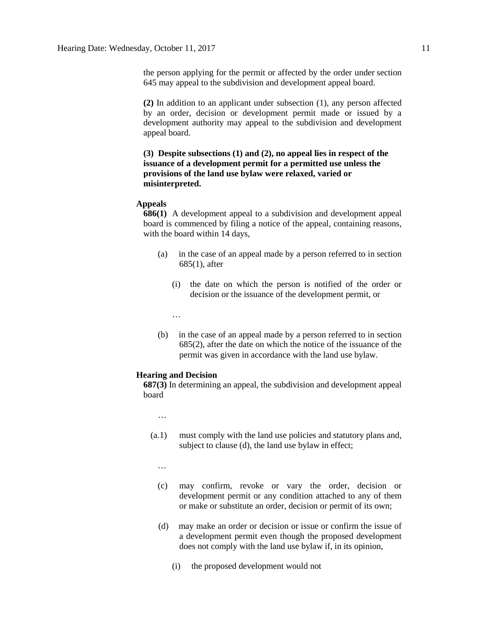the person applying for the permit or affected by the order under section 645 may appeal to the subdivision and development appeal board.

**(2)** In addition to an applicant under subsection (1), any person affected by an order, decision or development permit made or issued by a development authority may appeal to the subdivision and development appeal board.

#### **(3) Despite subsections (1) and (2), no appeal lies in respect of the issuance of a development permit for a permitted use unless the provisions of the land use bylaw were relaxed, varied or misinterpreted.**

#### **Appeals**

**686(1)** A development appeal to a subdivision and development appeal board is commenced by filing a notice of the appeal, containing reasons, with the board within 14 days,

- (a) in the case of an appeal made by a person referred to in section 685(1), after
	- (i) the date on which the person is notified of the order or decision or the issuance of the development permit, or
	- …
- (b) in the case of an appeal made by a person referred to in section 685(2), after the date on which the notice of the issuance of the permit was given in accordance with the land use bylaw.

#### **Hearing and Decision**

**687(3)** In determining an appeal, the subdivision and development appeal board

…

- (a.1) must comply with the land use policies and statutory plans and, subject to clause (d), the land use bylaw in effect;
	- …
	- (c) may confirm, revoke or vary the order, decision or development permit or any condition attached to any of them or make or substitute an order, decision or permit of its own;
	- (d) may make an order or decision or issue or confirm the issue of a development permit even though the proposed development does not comply with the land use bylaw if, in its opinion,
		- (i) the proposed development would not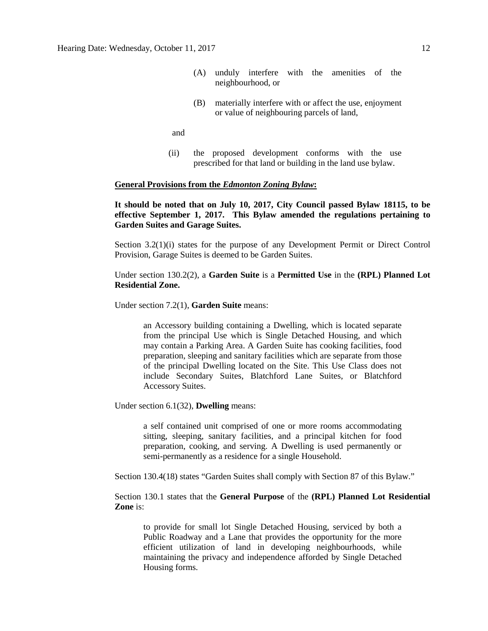- (A) unduly interfere with the amenities of the neighbourhood, or
- (B) materially interfere with or affect the use, enjoyment or value of neighbouring parcels of land,

and

(ii) the proposed development conforms with the use prescribed for that land or building in the land use bylaw.

#### **General Provisions from the** *Edmonton Zoning Bylaw***:**

**It should be noted that on July 10, 2017, City Council passed Bylaw 18115, to be effective September 1, 2017. This Bylaw amended the regulations pertaining to Garden Suites and Garage Suites.**

Section 3.2(1)(i) states for the purpose of any Development Permit or Direct Control Provision, Garage Suites is deemed to be Garden Suites.

Under section 130.2(2), a **Garden Suite** is a **Permitted Use** in the **(RPL) Planned Lot Residential Zone.**

Under section 7.2(1), **Garden Suite** means:

an Accessory building containing a Dwelling, which is located separate from the principal Use which is Single Detached Housing, and which may contain a Parking Area. A Garden Suite has cooking facilities, food preparation, sleeping and sanitary facilities which are separate from those of the principal Dwelling located on the Site. This Use Class does not include Secondary Suites, Blatchford Lane Suites, or Blatchford Accessory Suites.

Under section 6.1(32), **Dwelling** means:

a self contained unit comprised of one or more rooms accommodating sitting, sleeping, sanitary facilities, and a principal kitchen for food preparation, cooking, and serving. A Dwelling is used permanently or semi-permanently as a residence for a single Household.

Section 130.4(18) states "Garden Suites shall comply with Section 87 of this Bylaw."

Section 130.1 states that the **General Purpose** of the **(RPL) Planned Lot Residential Zone** is:

to provide for small lot Single Detached Housing, serviced by both a Public Roadway and a Lane that provides the opportunity for the more efficient utilization of land in developing neighbourhoods, while maintaining the privacy and independence afforded by Single Detached Housing forms.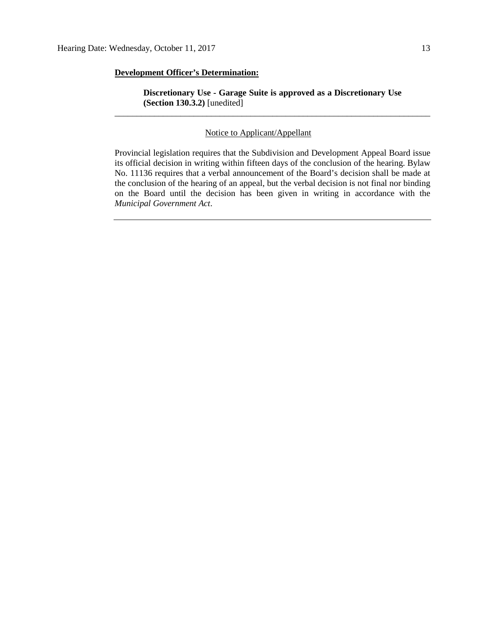#### **Development Officer's Determination:**

**Discretionary Use - Garage Suite is approved as a Discretionary Use (Section 130.3.2)** [unedited] \_\_\_\_\_\_\_\_\_\_\_\_\_\_\_\_\_\_\_\_\_\_\_\_\_\_\_\_\_\_\_\_\_\_\_\_\_\_\_\_\_\_\_\_\_\_\_\_\_\_\_\_\_\_\_\_\_\_\_\_\_\_\_\_\_\_\_\_\_\_\_\_

#### Notice to Applicant/Appellant

Provincial legislation requires that the Subdivision and Development Appeal Board issue its official decision in writing within fifteen days of the conclusion of the hearing. Bylaw No. 11136 requires that a verbal announcement of the Board's decision shall be made at the conclusion of the hearing of an appeal, but the verbal decision is not final nor binding on the Board until the decision has been given in writing in accordance with the *Municipal Government Act*.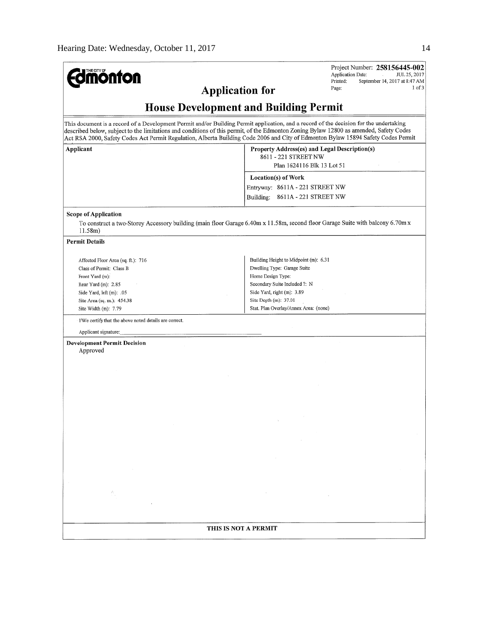| <b>mönton</b>                                                                                                                                                                                                                                                                                                                                                                                                         |                                                                                                     | Project Number: 258156445-002<br>Application Date:<br>JUL 25, 2017 |
|-----------------------------------------------------------------------------------------------------------------------------------------------------------------------------------------------------------------------------------------------------------------------------------------------------------------------------------------------------------------------------------------------------------------------|-----------------------------------------------------------------------------------------------------|--------------------------------------------------------------------|
| <b>Application for</b>                                                                                                                                                                                                                                                                                                                                                                                                |                                                                                                     | Printed:<br>September 14, 2017 at 8:47 AM<br>1 of 3<br>Page:       |
|                                                                                                                                                                                                                                                                                                                                                                                                                       |                                                                                                     |                                                                    |
| <b>House Development and Building Permit</b>                                                                                                                                                                                                                                                                                                                                                                          |                                                                                                     |                                                                    |
| This document is a record of a Development Permit and/or Building Permit application, and a record of the decision for the undertaking<br>described below, subject to the limitations and conditions of this permit, of the Edmonton Zoning Bylaw 12800 as amended, Safety Codes<br>Act RSA 2000, Safety Codes Act Permit Regulation, Alberta Building Code 2006 and City of Edmonton Bylaw 15894 Safety Codes Permit |                                                                                                     |                                                                    |
| Applicant                                                                                                                                                                                                                                                                                                                                                                                                             | Property Address(es) and Legal Description(s)<br>8611 - 221 STREET NW<br>Plan 1624116 Blk 13 Lot 51 |                                                                    |
|                                                                                                                                                                                                                                                                                                                                                                                                                       | Location(s) of Work                                                                                 |                                                                    |
|                                                                                                                                                                                                                                                                                                                                                                                                                       | Entryway: 8611A - 221 STREET NW                                                                     |                                                                    |
|                                                                                                                                                                                                                                                                                                                                                                                                                       | Building: 8611A - 221 STREET NW                                                                     |                                                                    |
| <b>Scope of Application</b><br>To construct a two-Storey Accessory building (main floor Garage 6.40m x 11.58m, second floor Garage Suite with balcony 6.70m x<br>11.58m                                                                                                                                                                                                                                               |                                                                                                     |                                                                    |
| <b>Permit Details</b>                                                                                                                                                                                                                                                                                                                                                                                                 |                                                                                                     |                                                                    |
| Affected Floor Area (sq. ft.): 716                                                                                                                                                                                                                                                                                                                                                                                    | Building Height to Midpoint (m): 6.31                                                               |                                                                    |
| Class of Permit: Class B<br>Front Yard (m):                                                                                                                                                                                                                                                                                                                                                                           | Dwelling Type: Garage Suite<br>Home Design Type:                                                    |                                                                    |
| Rear Yard (m): 2.85                                                                                                                                                                                                                                                                                                                                                                                                   | Secondary Suite Included ?: N                                                                       |                                                                    |
| Side Yard, left (m): .05                                                                                                                                                                                                                                                                                                                                                                                              | Side Yard, right (m): 3.89                                                                          |                                                                    |
| Site Area (sq. m.): 454.38                                                                                                                                                                                                                                                                                                                                                                                            | Site Depth (m): 37.01                                                                               |                                                                    |
| Site Width (m): 7.79                                                                                                                                                                                                                                                                                                                                                                                                  | Stat. Plan Overlay/Annex Area: (none)                                                               |                                                                    |
| I/We certify that the above noted details are correct.                                                                                                                                                                                                                                                                                                                                                                |                                                                                                     |                                                                    |
| Applicant signature:                                                                                                                                                                                                                                                                                                                                                                                                  |                                                                                                     |                                                                    |
| <b>Development Permit Decision</b><br>Approved                                                                                                                                                                                                                                                                                                                                                                        |                                                                                                     |                                                                    |
|                                                                                                                                                                                                                                                                                                                                                                                                                       |                                                                                                     |                                                                    |
|                                                                                                                                                                                                                                                                                                                                                                                                                       |                                                                                                     |                                                                    |
|                                                                                                                                                                                                                                                                                                                                                                                                                       |                                                                                                     |                                                                    |
|                                                                                                                                                                                                                                                                                                                                                                                                                       |                                                                                                     |                                                                    |
|                                                                                                                                                                                                                                                                                                                                                                                                                       |                                                                                                     |                                                                    |
|                                                                                                                                                                                                                                                                                                                                                                                                                       |                                                                                                     |                                                                    |
|                                                                                                                                                                                                                                                                                                                                                                                                                       |                                                                                                     |                                                                    |
|                                                                                                                                                                                                                                                                                                                                                                                                                       |                                                                                                     |                                                                    |
|                                                                                                                                                                                                                                                                                                                                                                                                                       |                                                                                                     |                                                                    |
|                                                                                                                                                                                                                                                                                                                                                                                                                       |                                                                                                     |                                                                    |
|                                                                                                                                                                                                                                                                                                                                                                                                                       |                                                                                                     |                                                                    |
|                                                                                                                                                                                                                                                                                                                                                                                                                       |                                                                                                     |                                                                    |
|                                                                                                                                                                                                                                                                                                                                                                                                                       |                                                                                                     |                                                                    |
|                                                                                                                                                                                                                                                                                                                                                                                                                       |                                                                                                     |                                                                    |
|                                                                                                                                                                                                                                                                                                                                                                                                                       |                                                                                                     |                                                                    |
|                                                                                                                                                                                                                                                                                                                                                                                                                       |                                                                                                     |                                                                    |
|                                                                                                                                                                                                                                                                                                                                                                                                                       |                                                                                                     |                                                                    |
| THIS IS NOT A PERMIT                                                                                                                                                                                                                                                                                                                                                                                                  |                                                                                                     |                                                                    |
|                                                                                                                                                                                                                                                                                                                                                                                                                       |                                                                                                     |                                                                    |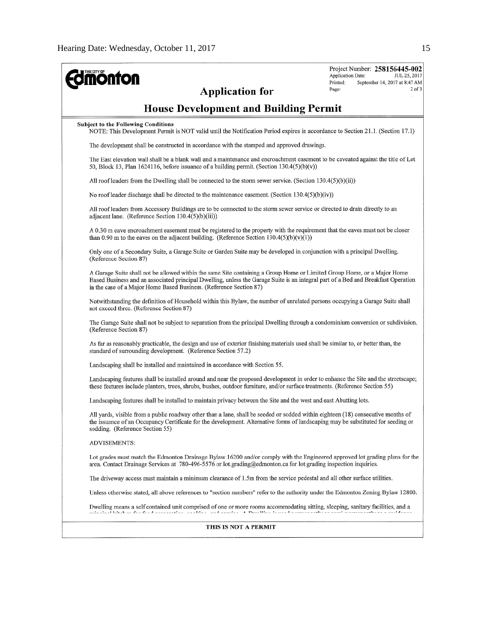| <b>monton</b>                                                                                                                                                                                                                                                                                                                      | Project Number: 258156445-002<br>Application Date:<br>JUL 25, 2017<br>Printed:<br>September 14, 2017 at 8:47 AM<br>$2$ of $3$<br>Page: |
|------------------------------------------------------------------------------------------------------------------------------------------------------------------------------------------------------------------------------------------------------------------------------------------------------------------------------------|----------------------------------------------------------------------------------------------------------------------------------------|
| Application for                                                                                                                                                                                                                                                                                                                    |                                                                                                                                        |
| <b>House Development and Building Permit</b>                                                                                                                                                                                                                                                                                       |                                                                                                                                        |
| <b>Subject to the Following Conditions</b><br>NOTE: This Development Permit is NOT valid until the Notification Period expires in accordance to Section 21.1. (Section 17.1)                                                                                                                                                       |                                                                                                                                        |
| The development shall be constructed in accordance with the stamped and approved drawings.                                                                                                                                                                                                                                         |                                                                                                                                        |
| The East elevation wall shall be a blank wall and a maintenance and encroachment easement to be caveated against the title of Lot<br>50, Block 13, Plan $1624116$ , before issuance of a building permit. (Section $130.4(5)(b)(v)$ )                                                                                              |                                                                                                                                        |
| All roof leaders from the Dwelling shall be connected to the storm sewer service. (Section $130.4(5)(b)(ii)$ )                                                                                                                                                                                                                     |                                                                                                                                        |
| No roof leader discharge shall be directed to the maintenance easement. (Section 130.4(5)(b)(iv))                                                                                                                                                                                                                                  |                                                                                                                                        |
| All roof leaders from Accessory Buildings are to be connected to the storm sewer service or directed to drain directly to an<br>adjacent lane. (Reference Section 130.4(5)(b)(iii))                                                                                                                                                |                                                                                                                                        |
| A 0.30 m eave encroachment easement must be registered to the property with the requirement that the eaves must not be closer<br>than 0.90 m to the eaves on the adjacent building. (Reference Section 130.4(5)(b)(v)(1))                                                                                                          |                                                                                                                                        |
| Only one of a Secondary Suite, a Garage Suite or Garden Suite may be developed in conjunction with a principal Dwelling.<br>(Reference Section 87)                                                                                                                                                                                 |                                                                                                                                        |
| A Garage Suite shall not be allowed within the same Site containing a Group Home or Limited Group Home, or a Major Home<br>Based Business and an associated principal Dwelling, unless the Garage Suite is an integral part of a Bed and Breakfast Operation<br>in the case of a Major Home Based Business. (Reference Section 87) |                                                                                                                                        |
| Notwithstanding the definition of Household within this Bylaw, the number of unrelated persons occupying a Garage Suite shall<br>not exceed three. (Reference Section 87)                                                                                                                                                          |                                                                                                                                        |
| The Garage Suite shall not be subject to separation from the principal Dwelling through a condominium conversion or subdivision.<br>(Reference Section 87)                                                                                                                                                                         |                                                                                                                                        |
| As far as reasonably practicable, the design and use of exterior finishing materials used shall be similar to, or better than, the<br>standard of surrounding development. (Reference Section 57.2)                                                                                                                                |                                                                                                                                        |
| Landscaping shall be installed and maintained in accordance with Section 55.                                                                                                                                                                                                                                                       |                                                                                                                                        |
| Landscaping features shall be installed around and near the proposed development in order to enhance the Site and the streetscape;<br>these features include planters, trees, shrubs, bushes, outdoor furniture, and/or surface treatments. (Reference Section 55)                                                                 |                                                                                                                                        |
| Landscaping features shall be installed to maintain privacy between the Site and the west and east Abutting lots.                                                                                                                                                                                                                  |                                                                                                                                        |
| All yards, visible from a public roadway other than a lane, shall be seeded or sodded within eighteen (18) consecutive months of<br>the issuance of an Occupancy Certificate for the development. Alternative forms of landscaping may be substituted for seeding or<br>sodding. (Reference Section 55)                            |                                                                                                                                        |
| <b>ADVISEMENTS:</b>                                                                                                                                                                                                                                                                                                                |                                                                                                                                        |
| Lot grades must match the Edmonton Drainage Bylaw 16200 and/or comply with the Engineered approved lot grading plans for the<br>area. Contact Drainage Services at 780-496-5576 or lot.grading@edmonton.ca for lot grading inspection inquiries.                                                                                   |                                                                                                                                        |
| The driveway access must maintain a minimum clearance of 1.5m from the service pedestal and all other surface utilities.                                                                                                                                                                                                           |                                                                                                                                        |
| Unless otherwise stated, all above references to "section numbers" refer to the authority under the Edmonton Zoning Bylaw 12800.                                                                                                                                                                                                   |                                                                                                                                        |
| Dwelling means a self contained unit comprised of one or more rooms accommodating sitting, sleeping, sanitary facilities, and a<br>aala dadi tababka waxaa ka kaasaadka waxaa ka ka ka kaada waxa baran ka markaa markaa markaa markaa ka markaa                                                                                   |                                                                                                                                        |
| THIS IS NOT A PERMIT                                                                                                                                                                                                                                                                                                               |                                                                                                                                        |
|                                                                                                                                                                                                                                                                                                                                    |                                                                                                                                        |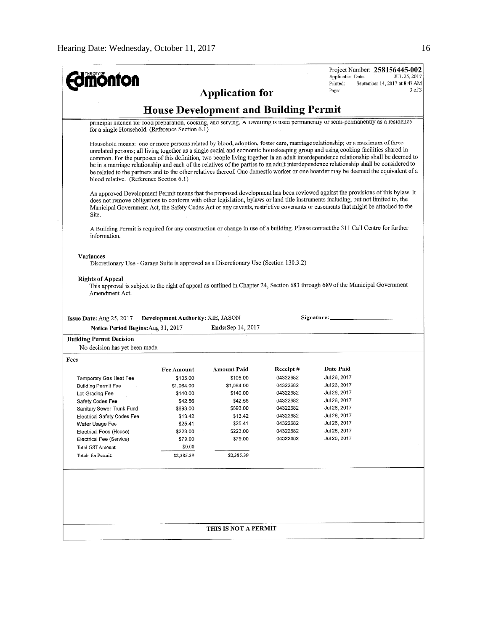| <b>mönton</b>                                   |                                          |                                                                                       |                      | Project Number: 258156445-002<br>Application Date:<br>JUL 25, 2017<br>Printed:<br>September 14, 2017 at 8:47 AM                                                                                                                                                                                                                                                                                                                                                                                                                                                                                                                                                                        |
|-------------------------------------------------|------------------------------------------|---------------------------------------------------------------------------------------|----------------------|----------------------------------------------------------------------------------------------------------------------------------------------------------------------------------------------------------------------------------------------------------------------------------------------------------------------------------------------------------------------------------------------------------------------------------------------------------------------------------------------------------------------------------------------------------------------------------------------------------------------------------------------------------------------------------------|
|                                                 |                                          | <b>Application for</b>                                                                |                      | 3 of 3<br>Page:                                                                                                                                                                                                                                                                                                                                                                                                                                                                                                                                                                                                                                                                        |
|                                                 |                                          |                                                                                       |                      |                                                                                                                                                                                                                                                                                                                                                                                                                                                                                                                                                                                                                                                                                        |
|                                                 |                                          | <b>House Development and Building Permit</b>                                          |                      |                                                                                                                                                                                                                                                                                                                                                                                                                                                                                                                                                                                                                                                                                        |
| for a single Household. (Reference Section 6.1) |                                          |                                                                                       |                      | principal kitchen for food preparation, cooking, and serving. A Liwelling is used permanently or semi-permanently as a residence                                                                                                                                                                                                                                                                                                                                                                                                                                                                                                                                                       |
| blood relative. (Reference Section 6.1)         |                                          |                                                                                       |                      | Household means: one or more persons related by blood, adoption, foster care, marriage relationship; or a maximum of three<br>unrelated persons; all living together as a single social and economic housekeeping group and using cooking facilities shared in<br>common. For the purposes of this definition, two people living together in an adult interdependence relationship shall be deemed to<br>be in a marriage relationship and each of the relatives of the parties to an adult interdependence relationship shall be considered to<br>be related to the partners and to the other relatives thereof. One domestic worker or one boarder may be deemed the equivalent of a |
| Site.                                           |                                          |                                                                                       |                      | An approved Development Permit means that the proposed development has been reviewed against the provisions of this bylaw. It<br>does not remove obligations to conform with other legislation, bylaws or land title instruments including, but not limited to, the<br>Municipal Government Act, the Safety Codes Act or any caveats, restrictive covenants or easements that might be attached to the                                                                                                                                                                                                                                                                                 |
| information.                                    |                                          |                                                                                       |                      | A Building Permit is required for any construction or change in use of a building. Please contact the 311 Call Centre for further                                                                                                                                                                                                                                                                                                                                                                                                                                                                                                                                                      |
| <b>Variances</b>                                |                                          |                                                                                       |                      |                                                                                                                                                                                                                                                                                                                                                                                                                                                                                                                                                                                                                                                                                        |
|                                                 |                                          | Discretionary Use - Garage Suite is approved as a Discretionary Use (Section 130.3.2) |                      |                                                                                                                                                                                                                                                                                                                                                                                                                                                                                                                                                                                                                                                                                        |
|                                                 |                                          |                                                                                       |                      |                                                                                                                                                                                                                                                                                                                                                                                                                                                                                                                                                                                                                                                                                        |
| <b>Rights of Appeal</b>                         |                                          |                                                                                       |                      |                                                                                                                                                                                                                                                                                                                                                                                                                                                                                                                                                                                                                                                                                        |
|                                                 |                                          |                                                                                       |                      | This approval is subject to the right of appeal as outlined in Chapter 24, Section 683 through 689 of the Municipal Government                                                                                                                                                                                                                                                                                                                                                                                                                                                                                                                                                         |
| Amendment Act.                                  |                                          |                                                                                       |                      |                                                                                                                                                                                                                                                                                                                                                                                                                                                                                                                                                                                                                                                                                        |
|                                                 |                                          |                                                                                       |                      |                                                                                                                                                                                                                                                                                                                                                                                                                                                                                                                                                                                                                                                                                        |
| <b>Issue Date:</b> Aug $25$ , $2017$            | <b>Development Authority: XIE, JASON</b> |                                                                                       |                      | Signature:                                                                                                                                                                                                                                                                                                                                                                                                                                                                                                                                                                                                                                                                             |
| Notice Period Begins: Aug 31, 2017              |                                          | <b>Ends:</b> Sep 14, 2017                                                             |                      |                                                                                                                                                                                                                                                                                                                                                                                                                                                                                                                                                                                                                                                                                        |
| <b>Building Permit Decision</b>                 |                                          |                                                                                       |                      |                                                                                                                                                                                                                                                                                                                                                                                                                                                                                                                                                                                                                                                                                        |
| No decision has yet been made.                  |                                          |                                                                                       |                      |                                                                                                                                                                                                                                                                                                                                                                                                                                                                                                                                                                                                                                                                                        |
| Fees                                            |                                          |                                                                                       |                      |                                                                                                                                                                                                                                                                                                                                                                                                                                                                                                                                                                                                                                                                                        |
|                                                 | <b>Fee Amount</b>                        | <b>Amount Paid</b>                                                                    | Receipt#             | Date Paid                                                                                                                                                                                                                                                                                                                                                                                                                                                                                                                                                                                                                                                                              |
| Temporary Gas Heat Fee                          | \$105.00                                 | \$105.00                                                                              | 04322682             |                                                                                                                                                                                                                                                                                                                                                                                                                                                                                                                                                                                                                                                                                        |
|                                                 |                                          |                                                                                       |                      | Jul 26, 2017                                                                                                                                                                                                                                                                                                                                                                                                                                                                                                                                                                                                                                                                           |
|                                                 |                                          |                                                                                       |                      |                                                                                                                                                                                                                                                                                                                                                                                                                                                                                                                                                                                                                                                                                        |
| <b>Building Permit Fee</b>                      | \$1,064.00                               | \$1,064.00                                                                            | 04322682             | Jul 26, 2017                                                                                                                                                                                                                                                                                                                                                                                                                                                                                                                                                                                                                                                                           |
| Lot Grading Fee                                 | \$140.00                                 | \$140.00                                                                              | 04322682             | Jul 26, 2017                                                                                                                                                                                                                                                                                                                                                                                                                                                                                                                                                                                                                                                                           |
| Safety Codes Fee                                | \$42.56                                  | \$42.56                                                                               | 04322682             | Jul 26, 2017                                                                                                                                                                                                                                                                                                                                                                                                                                                                                                                                                                                                                                                                           |
| Sanitary Sewer Trunk Fund                       | \$693.00                                 | \$693.00                                                                              | 04322682<br>04322682 | Jul 26, 2017                                                                                                                                                                                                                                                                                                                                                                                                                                                                                                                                                                                                                                                                           |
| Electrical Safety Codes Fee                     | \$13.42                                  | \$13.42                                                                               |                      | Jul 26, 2017                                                                                                                                                                                                                                                                                                                                                                                                                                                                                                                                                                                                                                                                           |
| Water Usage Fee                                 | \$25.41                                  | \$25.41                                                                               | 04322682<br>04322682 | Jul 26, 2017                                                                                                                                                                                                                                                                                                                                                                                                                                                                                                                                                                                                                                                                           |
| Electrical Fees (House)                         | \$223.00                                 | \$223.00<br>\$79.00                                                                   | 04322682             | Jul 26, 2017<br>Jul 26, 2017                                                                                                                                                                                                                                                                                                                                                                                                                                                                                                                                                                                                                                                           |
| Electrical Fee (Service)                        | \$79.00                                  |                                                                                       |                      |                                                                                                                                                                                                                                                                                                                                                                                                                                                                                                                                                                                                                                                                                        |
| Total GST Amount:                               | \$0.00                                   |                                                                                       |                      |                                                                                                                                                                                                                                                                                                                                                                                                                                                                                                                                                                                                                                                                                        |
| Totals for Permit:                              | \$2,385.39                               | \$2,385.39                                                                            |                      |                                                                                                                                                                                                                                                                                                                                                                                                                                                                                                                                                                                                                                                                                        |
|                                                 |                                          |                                                                                       |                      |                                                                                                                                                                                                                                                                                                                                                                                                                                                                                                                                                                                                                                                                                        |
|                                                 |                                          |                                                                                       |                      |                                                                                                                                                                                                                                                                                                                                                                                                                                                                                                                                                                                                                                                                                        |
|                                                 |                                          |                                                                                       |                      |                                                                                                                                                                                                                                                                                                                                                                                                                                                                                                                                                                                                                                                                                        |
|                                                 |                                          |                                                                                       |                      |                                                                                                                                                                                                                                                                                                                                                                                                                                                                                                                                                                                                                                                                                        |
|                                                 |                                          |                                                                                       |                      |                                                                                                                                                                                                                                                                                                                                                                                                                                                                                                                                                                                                                                                                                        |
|                                                 |                                          |                                                                                       |                      |                                                                                                                                                                                                                                                                                                                                                                                                                                                                                                                                                                                                                                                                                        |
|                                                 |                                          | THIS IS NOT A PERMIT                                                                  |                      |                                                                                                                                                                                                                                                                                                                                                                                                                                                                                                                                                                                                                                                                                        |
|                                                 |                                          |                                                                                       |                      |                                                                                                                                                                                                                                                                                                                                                                                                                                                                                                                                                                                                                                                                                        |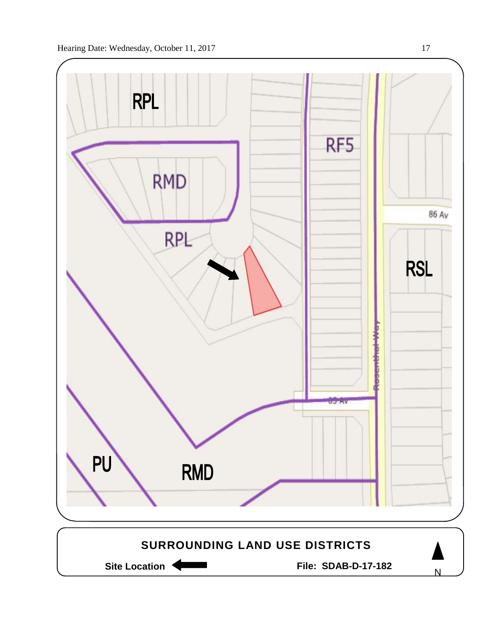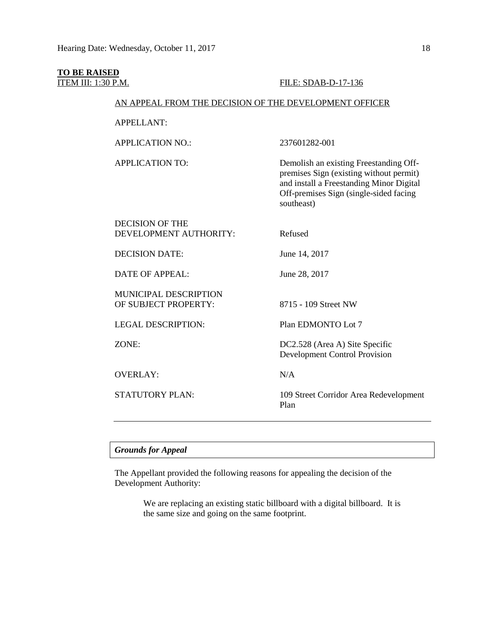# **TO BE RAISED**

#### **ITEM III: 1:30 P.M. FILE: SDAB-D-17-136**

#### AN APPEAL FROM THE DECISION OF THE DEVELOPMENT OFFICER

APPELLANT:

APPLICATION NO.: 237601282-001

APPLICATION TO: Demolish an existing Freestanding Offpremises Sign (existing without permit) and install a Freestanding Minor Digital Off-premises Sign (single-sided facing southeast)

| <b>DECISION OF THE</b>       |                                                |
|------------------------------|------------------------------------------------|
| DEVELOPMENT AUTHORITY:       | Refused                                        |
| <b>DECISION DATE:</b>        | June 14, 2017                                  |
| <b>DATE OF APPEAL:</b>       | June 28, 2017                                  |
| <b>MUNICIPAL DESCRIPTION</b> |                                                |
| OF SUBJECT PROPERTY:         | 8715 - 109 Street NW                           |
| <b>LEGAL DESCRIPTION:</b>    | Plan EDMONTO Lot 7                             |
| ZONE:                        | DC2.528 (Area A) Site Specific                 |
|                              | <b>Development Control Provision</b>           |
| <b>OVERLAY:</b>              | N/A                                            |
| <b>STATUTORY PLAN:</b>       | 109 Street Corridor Area Redevelopment<br>Plan |
|                              |                                                |

#### *Grounds for Appeal*

The Appellant provided the following reasons for appealing the decision of the Development Authority:

> We are replacing an existing static billboard with a digital billboard. It is the same size and going on the same footprint.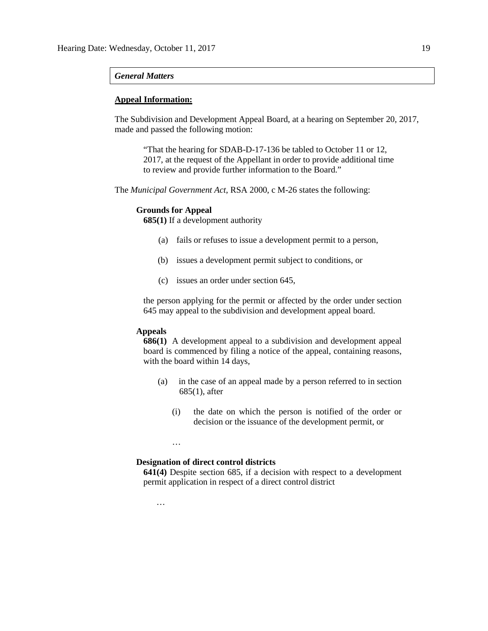#### *General Matters*

#### **Appeal Information:**

The Subdivision and Development Appeal Board, at a hearing on September 20, 2017, made and passed the following motion:

"That the hearing for SDAB-D-17-136 be tabled to October 11 or 12, 2017, at the request of the Appellant in order to provide additional time to review and provide further information to the Board."

The *Municipal Government Act*, RSA 2000, c M-26 states the following:

#### **Grounds for Appeal**

**685(1)** If a development authority

- (a) fails or refuses to issue a development permit to a person,
- (b) issues a development permit subject to conditions, or
- (c) issues an order under section 645,

the person applying for the permit or affected by the order under section 645 may appeal to the subdivision and development appeal board.

#### **Appeals**

**686(1)** A development appeal to a subdivision and development appeal board is commenced by filing a notice of the appeal, containing reasons, with the board within 14 days,

- (a) in the case of an appeal made by a person referred to in section 685(1), after
	- (i) the date on which the person is notified of the order or decision or the issuance of the development permit, or

…

…

#### **Designation of direct control districts**

**641(4)** Despite section 685, if a decision with respect to a development permit application in respect of a direct control district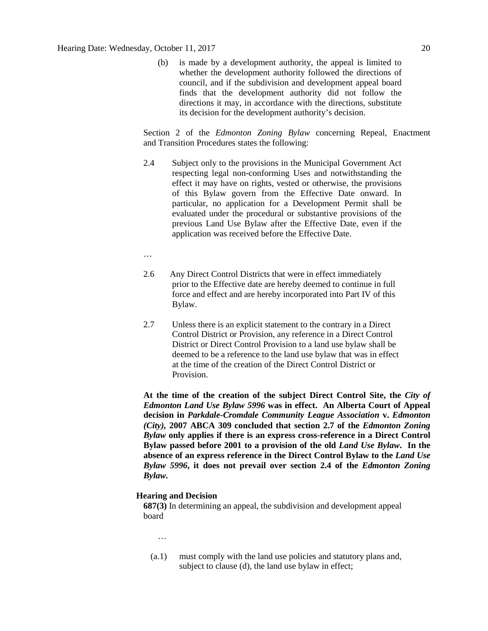(b) is made by a development authority, the appeal is limited to whether the development authority followed the directions of council, and if the subdivision and development appeal board finds that the development authority did not follow the directions it may, in accordance with the directions, substitute its decision for the development authority's decision.

Section 2 of the *Edmonton Zoning Bylaw* concerning Repeal, Enactment and Transition Procedures states the following:

- 2.4 Subject only to the provisions in the Municipal Government Act respecting legal non-conforming Uses and notwithstanding the effect it may have on rights, vested or otherwise, the provisions of this Bylaw govern from the Effective Date onward. In particular, no application for a Development Permit shall be evaluated under the procedural or substantive provisions of the previous Land Use Bylaw after the Effective Date, even if the application was received before the Effective Date.
- …
- 2.6 Any Direct Control Districts that were in effect immediately prior to the Effective date are hereby deemed to continue in full force and effect and are hereby incorporated into Part IV of this Bylaw.
- 2.7 Unless there is an explicit statement to the contrary in a Direct Control District or Provision, any reference in a Direct Control District or Direct Control Provision to a land use bylaw shall be deemed to be a reference to the land use bylaw that was in effect at the time of the creation of the Direct Control District or Provision.

**At the time of the creation of the subject Direct Control Site, the** *City of Edmonton Land Use Bylaw 5996* **was in effect. An Alberta Court of Appeal decision in** *Parkdale-Cromdale Community League Association* **v.** *Edmonton (City),* **2007 ABCA 309 concluded that section 2.7 of the** *Edmonton Zoning Bylaw* **only applies if there is an express cross-reference in a Direct Control Bylaw passed before 2001 to a provision of the old** *Land Use Bylaw***. In the absence of an express reference in the Direct Control Bylaw to the** *Land Use Bylaw 5996***, it does not prevail over section 2.4 of the** *Edmonton Zoning Bylaw.*

#### **Hearing and Decision**

**687(3)** In determining an appeal, the subdivision and development appeal board

- …
- (a.1) must comply with the land use policies and statutory plans and, subject to clause (d), the land use bylaw in effect;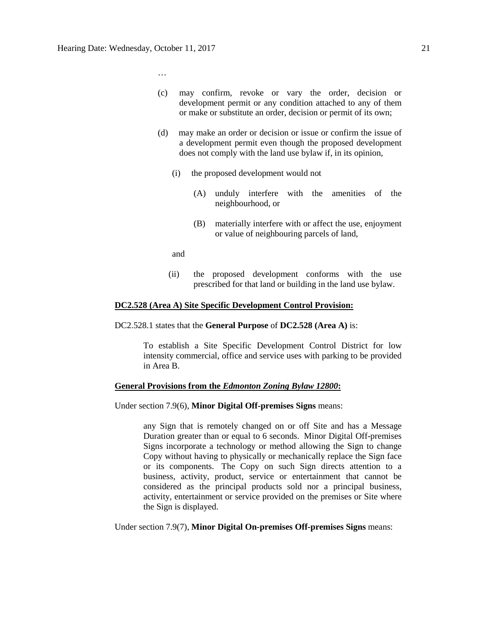…

- (c) may confirm, revoke or vary the order, decision or development permit or any condition attached to any of them or make or substitute an order, decision or permit of its own;
- (d) may make an order or decision or issue or confirm the issue of a development permit even though the proposed development does not comply with the land use bylaw if, in its opinion,
	- (i) the proposed development would not
		- (A) unduly interfere with the amenities of the neighbourhood, or
		- (B) materially interfere with or affect the use, enjoyment or value of neighbouring parcels of land,
	- and
	- (ii) the proposed development conforms with the use prescribed for that land or building in the land use bylaw.

#### **DC2.528 (Area A) Site Specific Development Control Provision:**

DC2.528.1 states that the **General Purpose** of **DC2.528 (Area A)** is:

To establish a Site Specific Development Control District for low intensity commercial, office and service uses with parking to be provided in Area B.

#### **General Provisions from the** *Edmonton Zoning Bylaw 12800***:**

Under section 7.9(6), **Minor Digital Off-premises Signs** means:

any Sign that is remotely changed on or off Site and has a Message Duration greater than or equal to 6 seconds. Minor Digital Off-premises Signs incorporate a technology or method allowing the Sign to change Copy without having to physically or mechanically replace the Sign face or its components. The Copy on such Sign directs attention to a business, activity, product, service or entertainment that cannot be considered as the principal products sold nor a principal business, activity, entertainment or service provided on the premises or Site where the Sign is displayed.

Under section 7.9(7), **Minor Digital On-premises Off-premises Signs** means: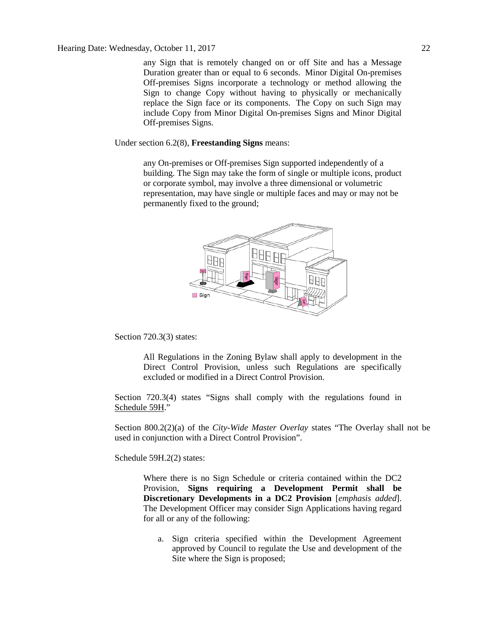any Sign that is remotely changed on or off Site and has a Message Duration greater than or equal to 6 seconds. Minor Digital On-premises Off-premises Signs incorporate a technology or method allowing the Sign to change Copy without having to physically or mechanically replace the Sign face or its components. The Copy on such Sign may include Copy from Minor Digital On-premises Signs and Minor Digital Off-premises Signs.

Under section 6.2(8), **Freestanding Signs** means:

any On-premises or Off-premises Sign supported independently of a building. The Sign may take the form of single or multiple icons, product or corporate symbol, may involve a three dimensional or volumetric representation, may have single or multiple faces and may or may not be permanently fixed to the ground;



Section 720.3(3) states:

All Regulations in the Zoning Bylaw shall apply to development in the Direct Control Provision, unless such Regulations are specifically excluded or modified in a Direct Control Provision.

Section 720.3(4) states "Signs shall comply with the regulations found in Schedule 59H."

Section 800.2(2)(a) of the *City-Wide Master Overlay* states "The Overlay shall not be used in conjunction with a Direct Control Provision".

Schedule 59H.2(2) states:

Where there is no Sign Schedule or criteria contained within the DC2 Provision, **Signs requiring a Development Permit shall be Discretionary Developments in a DC2 Provision** [*emphasis added*]. The Development Officer may consider Sign Applications having regard for all or any of the following:

a. Sign criteria specified within the Development Agreement approved by Council to regulate the Use and development of the Site where the Sign is proposed;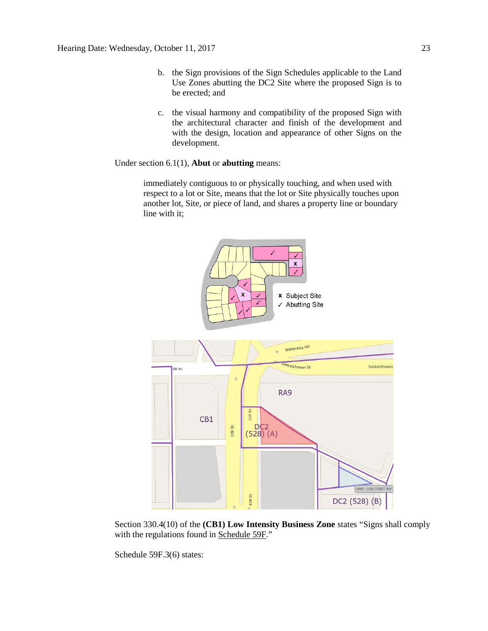- b. the Sign provisions of the Sign Schedules applicable to the Land Use Zones abutting the DC2 Site where the proposed Sign is to be erected; and
- c. the visual harmony and compatibility of the proposed Sign with the architectural character and finish of the development and with the design, location and appearance of other Signs on the development.

Under section 6.1(1), **Abut** or **abutting** means:

immediately contiguous to or physically touching, and when used with respect to a lot or Site, means that the lot or Site physically touches upon another lot, Site, or piece of land, and shares a property line or boundary line with it;



Section 330.4(10) of the **(CB1) Low Intensity Business Zone** states "Signs shall comply with the regulations found in Schedule 59F."

Schedule 59F.3(6) states: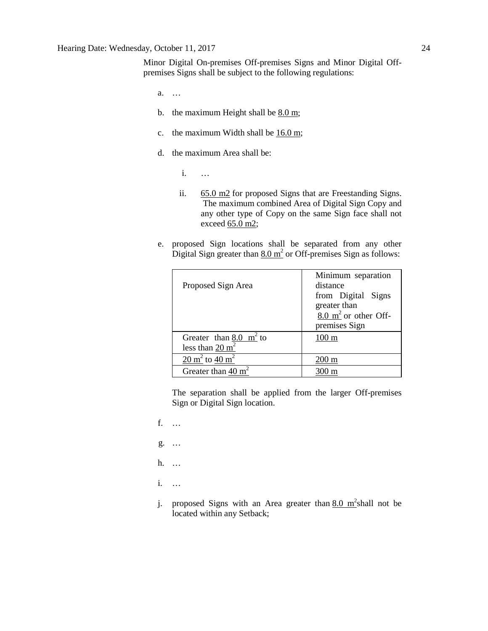Minor Digital On-premises Off-premises Signs and Minor Digital Offpremises Signs shall be subject to the following regulations:

- a. …
- b. the maximum Height shall be  $8.0 \text{ m}$ ;
- c. the maximum Width shall be [16.0 m;](javascript:void(0);)
- d. the maximum Area shall be:
	- i. …
	- ii. [65.0 m2](javascript:void(0);) for proposed Signs that are Freestanding Signs. The maximum combined Area of Digital Sign Copy and any other type of Copy on the same Sign face shall not exceed [65.0 m2;](javascript:void(0);)
- e. proposed Sign locations shall be separated from any other Digital Sign greater than  $8.0 \text{ m}^2$  or Off-premises Sign as follows:

| Proposed Sign Area                                              | Minimum separation<br>distance<br>from Digital Signs<br>greater than<br>$8.0 \text{ m}^2$ or other Off-<br>premises Sign |
|-----------------------------------------------------------------|--------------------------------------------------------------------------------------------------------------------------|
| Greater than $8.0 \text{ m}^2$ to<br>less than $20 \text{ m}^2$ | $100 \text{ m}$                                                                                                          |
| 20 m <sup>2</sup> to 40 m <sup>2</sup>                          | 200 m                                                                                                                    |
| Greater than $40 \text{ m}^2$                                   |                                                                                                                          |

The separation shall be applied from the larger Off-premises Sign or Digital Sign location.

- f. …
- g. …
- h. …
- i. …
- j. proposed Signs with an Area greater than  $8.0 \text{ m}^2$ shall not be located within any Setback;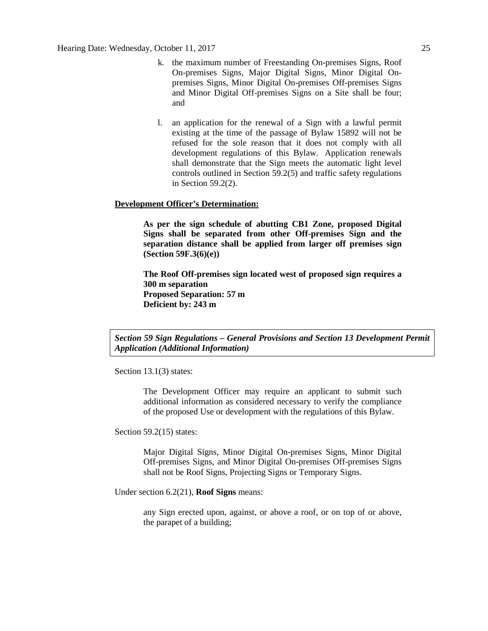- k. the maximum number of Freestanding On-premises Signs, Roof On-premises Signs, Major Digital Signs, Minor Digital Onpremises Signs, Minor Digital On-premises Off-premises Signs and Minor Digital Off-premises Signs on a Site shall be four; and
- l. an application for the renewal of a Sign with a lawful permit existing at the time of the passage of Bylaw 15892 will not be refused for the sole reason that it does not comply with all development regulations of this Bylaw. Application renewals shall demonstrate that the Sign meets the automatic light level controls outlined in Section 59.2(5) and traffic safety regulations in Section 59.2(2).

#### **Development Officer's Determination:**

**As per the sign schedule of abutting CB1 Zone, proposed Digital Signs shall be separated from other Off-premises Sign and the separation distance shall be applied from larger off premises sign (Section 59F.3(6)(e))**

**The Roof Off-premises sign located west of proposed sign requires a 300 m separation Proposed Separation: 57 m Deficient by: 243 m**

*Section 59 Sign Regulations – General Provisions and Section 13 Development Permit Application (Additional Information)*

Section 13.1<sup>(3)</sup> states:

The Development Officer may require an applicant to submit such additional information as considered necessary to verify the compliance of the proposed Use or development with the regulations of this Bylaw.

Section 59.2(15) states:

Major Digital Signs, Minor Digital On-premises Signs, Minor Digital Off-premises Signs, and Minor Digital On-premises Off-premises Signs shall not be Roof Signs, Projecting Signs or Temporary Signs.

Under section 6.2(21), **Roof Signs** means:

any Sign erected upon, against, or above a roof, or on top of or above, the parapet of a building;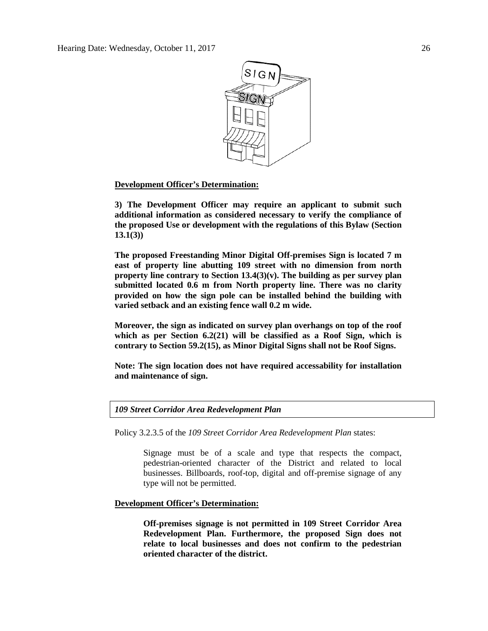

#### **Development Officer's Determination:**

**3) The Development Officer may require an applicant to submit such additional information as considered necessary to verify the compliance of the proposed Use or development with the regulations of this Bylaw (Section 13.1(3))**

**The proposed Freestanding Minor Digital Off-premises Sign is located 7 m east of property line abutting 109 street with no dimension from north property line contrary to Section 13.4(3)(v). The building as per survey plan submitted located 0.6 m from North property line. There was no clarity provided on how the sign pole can be installed behind the building with varied setback and an existing fence wall 0.2 m wide.**

**Moreover, the sign as indicated on survey plan overhangs on top of the roof which as per Section 6.2(21) will be classified as a Roof Sign, which is contrary to Section 59.2(15), as Minor Digital Signs shall not be Roof Signs.**

**Note: The sign location does not have required accessability for installation and maintenance of sign.**

*109 Street Corridor Area Redevelopment Plan*

Policy 3.2.3.5 of the *109 Street Corridor Area Redevelopment Plan* states:

Signage must be of a scale and type that respects the compact, pedestrian-oriented character of the District and related to local businesses. Billboards, roof-top, digital and off-premise signage of any type will not be permitted.

**Development Officer's Determination:**

**Off-premises signage is not permitted in 109 Street Corridor Area Redevelopment Plan. Furthermore, the proposed Sign does not relate to local businesses and does not confirm to the pedestrian oriented character of the district.**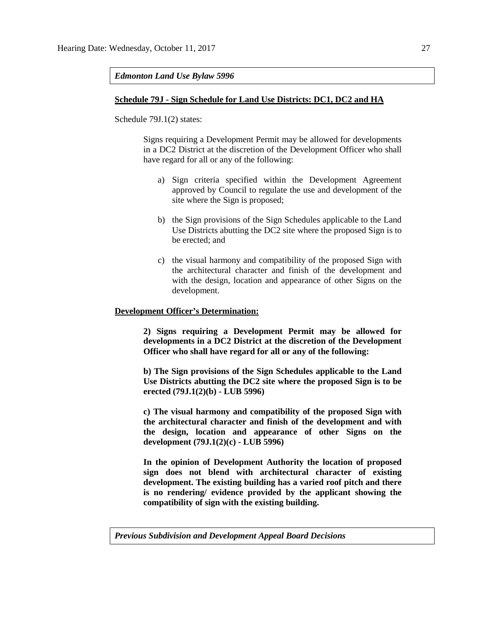*Edmonton Land Use Bylaw 5996*

#### **Schedule 79J - Sign Schedule for Land Use Districts: DC1, DC2 and HA**

Schedule 79J.1(2) states:

Signs requiring a Development Permit may be allowed for developments in a DC2 District at the discretion of the Development Officer who shall have regard for all or any of the following:

- a) Sign criteria specified within the Development Agreement approved by Council to regulate the use and development of the site where the Sign is proposed;
- b) the Sign provisions of the Sign Schedules applicable to the Land Use Districts abutting the DC2 site where the proposed Sign is to be erected; and
- c) the visual harmony and compatibility of the proposed Sign with the architectural character and finish of the development and with the design, location and appearance of other Signs on the development.

#### **Development Officer's Determination:**

**2) Signs requiring a Development Permit may be allowed for developments in a DC2 District at the discretion of the Development Officer who shall have regard for all or any of the following:**

**b) The Sign provisions of the Sign Schedules applicable to the Land Use Districts abutting the DC2 site where the proposed Sign is to be erected (79J.1(2)(b) - LUB 5996)**

**c) The visual harmony and compatibility of the proposed Sign with the architectural character and finish of the development and with the design, location and appearance of other Signs on the development (79J.1(2)(c) - LUB 5996)**

**In the opinion of Development Authority the location of proposed sign does not blend with architectural character of existing development. The existing building has a varied roof pitch and there is no rendering/ evidence provided by the applicant showing the compatibility of sign with the existing building.** 

*Previous Subdivision and Development Appeal Board Decisions*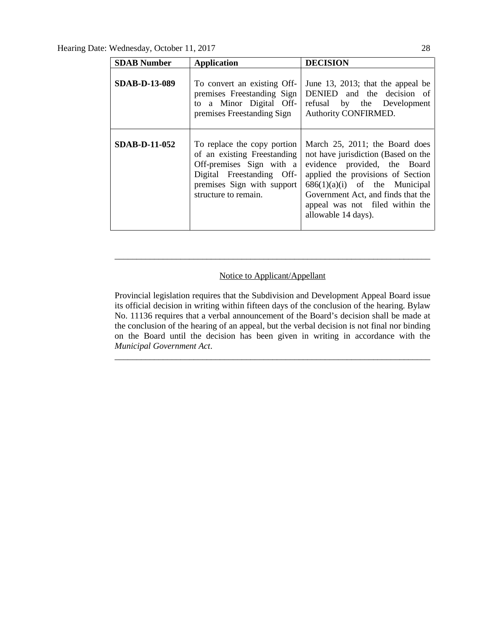Hearing Date: Wednesday, October 11, 2017 28

| <b>SDAB Number</b>   | <b>Application</b>                                                                                                                                                        | <b>DECISION</b>                                                                                                                                                                                                                                                               |
|----------------------|---------------------------------------------------------------------------------------------------------------------------------------------------------------------------|-------------------------------------------------------------------------------------------------------------------------------------------------------------------------------------------------------------------------------------------------------------------------------|
| <b>SDAB-D-13-089</b> | To convert an existing Off-<br>premises Freestanding Sign<br>to a Minor Digital Off-<br>premises Freestanding Sign                                                        | June 13, 2013; that the appeal be<br>DENIED and the decision of<br>refusal by the Development<br>Authority CONFIRMED.                                                                                                                                                         |
| <b>SDAB-D-11-052</b> | To replace the copy portion<br>of an existing Freestanding<br>Off-premises Sign with a<br>Digital Freestanding Off-<br>premises Sign with support<br>structure to remain. | March 25, 2011; the Board does<br>not have jurisdiction (Based on the<br>evidence provided, the Board<br>applied the provisions of Section<br>$686(1)(a)(i)$ of the Municipal<br>Government Act, and finds that the<br>appeal was not filed within the<br>allowable 14 days). |

#### Notice to Applicant/Appellant

\_\_\_\_\_\_\_\_\_\_\_\_\_\_\_\_\_\_\_\_\_\_\_\_\_\_\_\_\_\_\_\_\_\_\_\_\_\_\_\_\_\_\_\_\_\_\_\_\_\_\_\_\_\_\_\_\_\_\_\_\_\_\_\_\_\_\_\_\_\_\_\_

Provincial legislation requires that the Subdivision and Development Appeal Board issue its official decision in writing within fifteen days of the conclusion of the hearing. Bylaw No. 11136 requires that a verbal announcement of the Board's decision shall be made at the conclusion of the hearing of an appeal, but the verbal decision is not final nor binding on the Board until the decision has been given in writing in accordance with the *Municipal Government Act*.

\_\_\_\_\_\_\_\_\_\_\_\_\_\_\_\_\_\_\_\_\_\_\_\_\_\_\_\_\_\_\_\_\_\_\_\_\_\_\_\_\_\_\_\_\_\_\_\_\_\_\_\_\_\_\_\_\_\_\_\_\_\_\_\_\_\_\_\_\_\_\_\_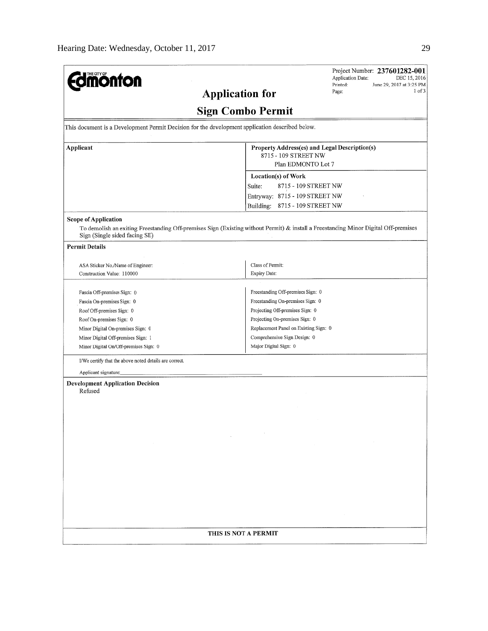| <b>mönton</b>                                                                                   | Project Number: 237601282-001<br>Application Date;<br>DEC 15, 2016<br>June 29, 2017 at 3:25 PM<br>Printed:                          |  |  |
|-------------------------------------------------------------------------------------------------|-------------------------------------------------------------------------------------------------------------------------------------|--|--|
| <b>Application for</b>                                                                          | $1$ of $3$<br>Page:                                                                                                                 |  |  |
|                                                                                                 |                                                                                                                                     |  |  |
|                                                                                                 | <b>Sign Combo Permit</b>                                                                                                            |  |  |
| This document is a Development Permit Decision for the development application described below. |                                                                                                                                     |  |  |
| Applicant                                                                                       | Property Address(es) and Legal Description(s)                                                                                       |  |  |
|                                                                                                 | 8715 - 109 STREET NW                                                                                                                |  |  |
|                                                                                                 | Plan EDMONTO Lot 7                                                                                                                  |  |  |
|                                                                                                 | Location(s) of Work                                                                                                                 |  |  |
|                                                                                                 | 8715 - 109 STREET NW<br>Suite:                                                                                                      |  |  |
|                                                                                                 | Entryway: 8715 - 109 STREET NW                                                                                                      |  |  |
|                                                                                                 | Building:<br>8715 - 109 STREET NW                                                                                                   |  |  |
| <b>Scope of Application</b>                                                                     |                                                                                                                                     |  |  |
| Sign (Single sided facing SE)                                                                   | To demolish an exiting Freestanding Off-premises Sign (Existing without Permit) & install a Freestanding Minor Digital Off-premises |  |  |
| <b>Permit Details</b>                                                                           |                                                                                                                                     |  |  |
|                                                                                                 |                                                                                                                                     |  |  |
| ASA Sticker No./Name of Engineer:                                                               | Class of Permit:                                                                                                                    |  |  |
| Construction Value: 110000                                                                      | Expiry Date:                                                                                                                        |  |  |
| Fascia Off-premises Sign: 0                                                                     | Freestanding Off-premises Sign: 0                                                                                                   |  |  |
| Fascia On-premises Sign: 0                                                                      | Freestanding On-premises Sign: 0                                                                                                    |  |  |
| Roof Off-premises Sign: 0                                                                       | Projecting Off-premises Sign: 0                                                                                                     |  |  |
| Roof On-premises Sign: 0                                                                        | Projecting On-premises Sign: 0                                                                                                      |  |  |
| Minor Digital On-premises Sign: 0                                                               | Replacement Panel on Existing Sign: 0                                                                                               |  |  |
| Minor Digital Off-premises Sign: 1                                                              | Comprehensive Sign Design: 0                                                                                                        |  |  |
| Minor Digital On/Off-premises Sign: 0                                                           | Major Digital Sign: 0                                                                                                               |  |  |
|                                                                                                 |                                                                                                                                     |  |  |
| I/We certify that the above noted details are correct.                                          |                                                                                                                                     |  |  |
| Applicant signature:                                                                            |                                                                                                                                     |  |  |
| <b>Development Application Decision</b><br>Refused                                              |                                                                                                                                     |  |  |
|                                                                                                 |                                                                                                                                     |  |  |
|                                                                                                 |                                                                                                                                     |  |  |
|                                                                                                 |                                                                                                                                     |  |  |
|                                                                                                 |                                                                                                                                     |  |  |
|                                                                                                 |                                                                                                                                     |  |  |
|                                                                                                 |                                                                                                                                     |  |  |
|                                                                                                 |                                                                                                                                     |  |  |
|                                                                                                 |                                                                                                                                     |  |  |
|                                                                                                 |                                                                                                                                     |  |  |
|                                                                                                 |                                                                                                                                     |  |  |
|                                                                                                 |                                                                                                                                     |  |  |
|                                                                                                 |                                                                                                                                     |  |  |
|                                                                                                 |                                                                                                                                     |  |  |
|                                                                                                 |                                                                                                                                     |  |  |
| THIS IS NOT A PERMIT                                                                            |                                                                                                                                     |  |  |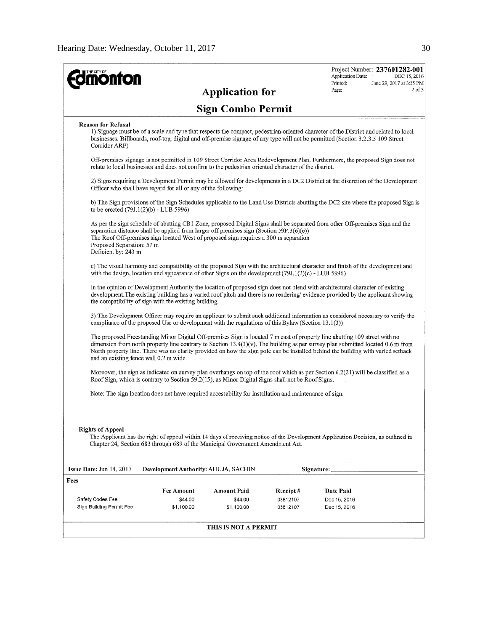| <b>Imonton</b>                                   |                                                                                                                                                                                                                                                                                                                                                                                                                                                |                                             |                                   | Application Date:<br>Printed:             | Project Number: 237601282-001<br>DEC 15, 2016<br>June 29, 2017 at 3:25 PM |
|--------------------------------------------------|------------------------------------------------------------------------------------------------------------------------------------------------------------------------------------------------------------------------------------------------------------------------------------------------------------------------------------------------------------------------------------------------------------------------------------------------|---------------------------------------------|-----------------------------------|-------------------------------------------|---------------------------------------------------------------------------|
|                                                  |                                                                                                                                                                                                                                                                                                                                                                                                                                                | <b>Application for</b>                      |                                   | Page:                                     | $2$ of $3$                                                                |
|                                                  |                                                                                                                                                                                                                                                                                                                                                                                                                                                | <b>Sign Combo Permit</b>                    |                                   |                                           |                                                                           |
| <b>Reason for Refusal</b><br>Corridor ARP)       | 1) Signage must be of a scale and type that respects the compact, pedestrian-oriented character of the District and related to local<br>businesses. Billboards, roof-top, digital and off-premise signage of any type will not be permitted (Section 3.2.3.5 109 Street                                                                                                                                                                        |                                             |                                   |                                           |                                                                           |
|                                                  | Off-premises signage is not permitted in 109 Street Corridor Area Redevelopment Plan. Furthermore, the proposed Sign does not<br>relate to local businesses and does not confirm to the pedestrian oriented character of the district.                                                                                                                                                                                                         |                                             |                                   |                                           |                                                                           |
|                                                  | 2) Signs requiring a Development Permit may be allowed for developments in a DC2 District at the discretion of the Development<br>Officer who shall have regard for all or any of the following:                                                                                                                                                                                                                                               |                                             |                                   |                                           |                                                                           |
|                                                  | b) The Sign provisions of the Sign Schedules applicable to the Land Use Districts abutting the DC2 site where the proposed Sign is<br>to be erected (79J.1(2)(b) - LUB 5996)                                                                                                                                                                                                                                                                   |                                             |                                   |                                           |                                                                           |
| Proposed Separation: 57 m<br>Deficient by: 243 m | As per the sign schedule of abutting CB1 Zone, proposed Digital Signs shall be separated from other Off-premises Sign and the<br>separation distance shall be applied from larger off premises sign (Section 59F.3( $6$ )( $e$ ))<br>The Roof Off-premises sign located West of proposed sign requires a 300 m separation                                                                                                                      |                                             |                                   |                                           |                                                                           |
|                                                  | c) The visual harmony and compatibility of the proposed Sign with the architectural character and finish of the development and<br>with the design, location and appearance of other Signs on the development $(79J.1(2)(c)$ - LUB 5996)                                                                                                                                                                                                       |                                             |                                   |                                           |                                                                           |
|                                                  | In the opinion of Development Authority the location of proposed sign does not blend with architectural character of existing<br>development. The existing building has a varied roof pitch and there is no rendering/evidence provided by the applicant showing<br>the compatibility of sign with the existing building.                                                                                                                      |                                             |                                   |                                           |                                                                           |
|                                                  | 3) The Development Officer may require an applicant to submit such additional information as considered necessary to verify the<br>compliance of the proposed Use or development with the regulations of this Bylaw (Section 13.1(3))                                                                                                                                                                                                          |                                             |                                   |                                           |                                                                           |
|                                                  | The proposed Freestanding Minor Digital Off-premises Sign is located 7 m east of property line abutting 109 street with no<br>dimension from north property line contrary to Section $13.4(3)(v)$ . The building as per survey plan submitted located 0.6 m from<br>North property line. There was no clarity provided on how the sign pole can be installed behind the building with varied setback<br>and an existing fence wall 0.2 m wide. |                                             |                                   |                                           |                                                                           |
|                                                  | Moreover, the sign as indicated on survey plan overhangs on top of the roof which as per Section 6.2(21) will be classified as a<br>Roof Sign, which is contrary to Section 59.2(15), as Minor Digital Signs shall not be Roof Signs.                                                                                                                                                                                                          |                                             |                                   |                                           |                                                                           |
|                                                  | Note: The sign location does not have required accessability for installation and maintenance of sign.                                                                                                                                                                                                                                                                                                                                         |                                             |                                   |                                           |                                                                           |
| <b>Rights of Appeal</b>                          | The Applicant has the right of appeal within 14 days of receiving notice of the Development Application Decision, as outlined in<br>Chapter 24, Section 683 through 689 of the Municipal Government Amendment Act.                                                                                                                                                                                                                             |                                             |                                   |                                           |                                                                           |
| <b>Issue Date:</b> Jun $14, 2017$                | Development Authority: AHUJA, SACHIN                                                                                                                                                                                                                                                                                                                                                                                                           |                                             |                                   | Signature:                                |                                                                           |
| Fees                                             |                                                                                                                                                                                                                                                                                                                                                                                                                                                |                                             |                                   |                                           |                                                                           |
| Safety Codes Fee<br>Sign Building Permit Fee     | <b>Fee Amount</b><br>\$44.00<br>\$1,100.00                                                                                                                                                                                                                                                                                                                                                                                                     | <b>Amount Paid</b><br>\$44.00<br>\$1,100.00 | Receipt #<br>03812107<br>03812107 | Date Paid<br>Dec 15, 2016<br>Dec 15, 2016 |                                                                           |
|                                                  |                                                                                                                                                                                                                                                                                                                                                                                                                                                | THIS IS NOT A PERMIT                        |                                   |                                           |                                                                           |
|                                                  |                                                                                                                                                                                                                                                                                                                                                                                                                                                |                                             |                                   |                                           |                                                                           |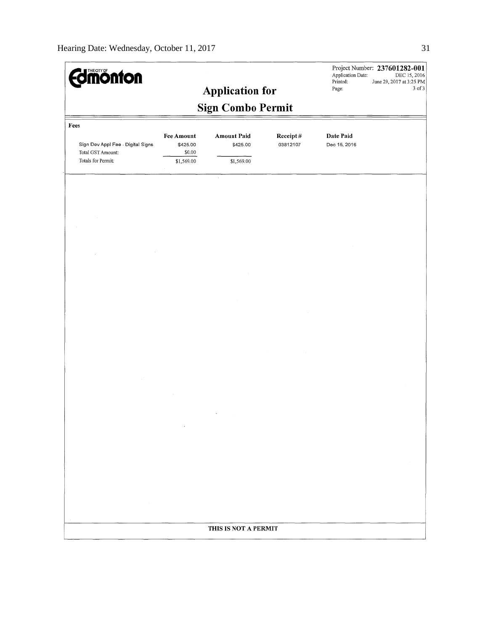| <b>Imonton</b>                                                               |                                                       | <b>Application for</b>                       |                      | Application Date:<br>Printed:<br>Page: | Project Number: 237601282-001<br>DEC 15, 2016<br>June 29, 2017 at 3:25 PM<br>3 of 3 |
|------------------------------------------------------------------------------|-------------------------------------------------------|----------------------------------------------|----------------------|----------------------------------------|-------------------------------------------------------------------------------------|
|                                                                              |                                                       | <b>Sign Combo Permit</b>                     |                      |                                        |                                                                                     |
| Fees                                                                         |                                                       |                                              |                      |                                        |                                                                                     |
| Sign Dev Appl Fee - Digital Signs<br>Total GST Amount:<br>Totals for Permit: | <b>Fee Amount</b><br>\$425.00<br>\$0.00<br>\$1,569.00 | <b>Amount Paid</b><br>\$425.00<br>\$1,569.00 | Receipt#<br>03812107 | Date Paid<br>Dec 15, 2016              |                                                                                     |
|                                                                              |                                                       | $\tau$                                       |                      |                                        |                                                                                     |
|                                                                              |                                                       |                                              |                      |                                        |                                                                                     |
|                                                                              |                                                       |                                              |                      |                                        |                                                                                     |
|                                                                              |                                                       |                                              |                      |                                        |                                                                                     |
|                                                                              |                                                       |                                              |                      |                                        |                                                                                     |
|                                                                              |                                                       |                                              |                      |                                        |                                                                                     |
|                                                                              |                                                       |                                              |                      |                                        |                                                                                     |
|                                                                              |                                                       |                                              |                      |                                        |                                                                                     |
|                                                                              |                                                       |                                              |                      |                                        |                                                                                     |
|                                                                              |                                                       |                                              |                      |                                        |                                                                                     |
|                                                                              |                                                       |                                              |                      |                                        |                                                                                     |
|                                                                              |                                                       |                                              |                      |                                        |                                                                                     |
|                                                                              |                                                       |                                              |                      |                                        |                                                                                     |
|                                                                              |                                                       |                                              |                      |                                        |                                                                                     |
|                                                                              | $\cdot$                                               |                                              |                      |                                        |                                                                                     |
|                                                                              |                                                       |                                              |                      |                                        |                                                                                     |
|                                                                              |                                                       |                                              |                      |                                        |                                                                                     |
|                                                                              |                                                       |                                              |                      |                                        |                                                                                     |
|                                                                              |                                                       |                                              |                      |                                        |                                                                                     |
|                                                                              |                                                       |                                              |                      |                                        |                                                                                     |
|                                                                              |                                                       | THIS IS NOT A PERMIT                         |                      |                                        |                                                                                     |